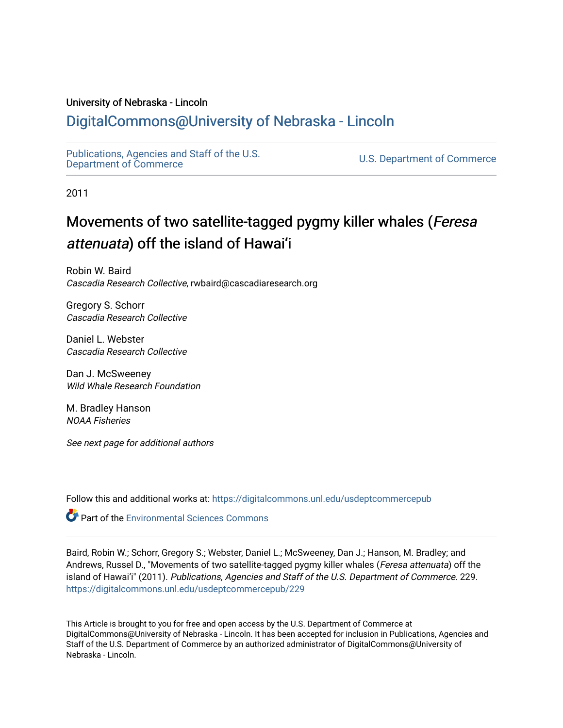### University of Nebraska - Lincoln

### [DigitalCommons@University of Nebraska - Lincoln](https://digitalcommons.unl.edu/)

[Publications, Agencies and Staff of the U.S.](https://digitalcommons.unl.edu/usdeptcommercepub)

U.S. [Department of Commerce](https://digitalcommons.unl.edu/usdeptcommercepub)

2011

### Movements of two satellite-tagged pygmy killer whales (Feresa attenuata) off the island of Hawai'i

Robin W. Baird Cascadia Research Collective, rwbaird@cascadiaresearch.org

Gregory S. Schorr Cascadia Research Collective

Daniel L. Webster Cascadia Research Collective

Dan J. McSweeney Wild Whale Research Foundation

M. Bradley Hanson NOAA Fisheries

See next page for additional authors

Follow this and additional works at: [https://digitalcommons.unl.edu/usdeptcommercepub](https://digitalcommons.unl.edu/usdeptcommercepub?utm_source=digitalcommons.unl.edu%2Fusdeptcommercepub%2F229&utm_medium=PDF&utm_campaign=PDFCoverPages)

**Part of the [Environmental Sciences Commons](http://network.bepress.com/hgg/discipline/167?utm_source=digitalcommons.unl.edu%2Fusdeptcommercepub%2F229&utm_medium=PDF&utm_campaign=PDFCoverPages)** 

Baird, Robin W.; Schorr, Gregory S.; Webster, Daniel L.; McSweeney, Dan J.; Hanson, M. Bradley; and Andrews, Russel D., "Movements of two satellite-tagged pygmy killer whales (Feresa attenuata) off the island of Hawai'i" (2011). Publications, Agencies and Staff of the U.S. Department of Commerce. 229. [https://digitalcommons.unl.edu/usdeptcommercepub/229](https://digitalcommons.unl.edu/usdeptcommercepub/229?utm_source=digitalcommons.unl.edu%2Fusdeptcommercepub%2F229&utm_medium=PDF&utm_campaign=PDFCoverPages) 

This Article is brought to you for free and open access by the U.S. Department of Commerce at DigitalCommons@University of Nebraska - Lincoln. It has been accepted for inclusion in Publications, Agencies and Staff of the U.S. Department of Commerce by an authorized administrator of DigitalCommons@University of Nebraska - Lincoln.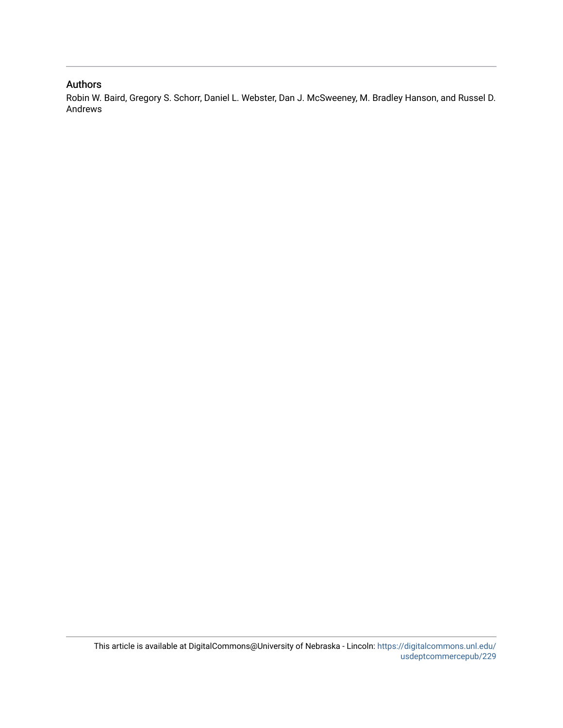### Authors

Robin W. Baird, Gregory S. Schorr, Daniel L. Webster, Dan J. McSweeney, M. Bradley Hanson, and Russel D. Andrews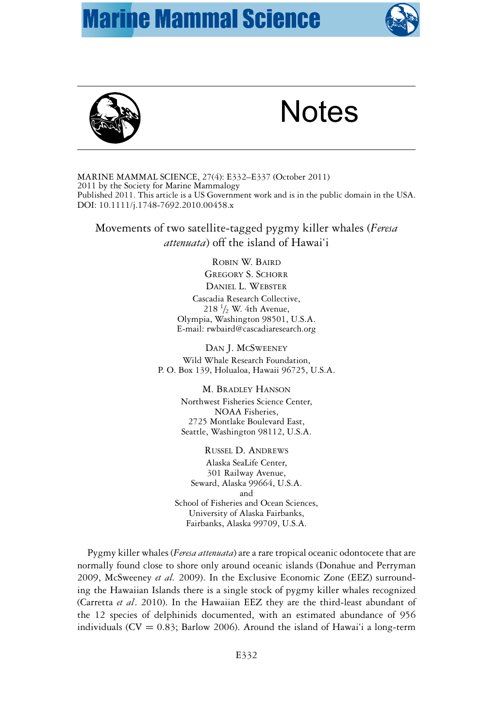## **Marine Mammal Science**





# **Notes**

MARINE MAMMAL SCIENCE, 27(4): E332–E337 (October 2011) 2011 by the Society for Marine Mammalogy Published 2011. This article is a US Government work and is in the public domain in the USA. DOI: 10.1111/j.1748-7692.2010.00458.x

Movements of two satellite-tagged pygmy killer whales (*Feresa attenuata*) off the island of Hawai'i

> ROBIN W. BAIRD GREGORY S. SCHORR DANIEL L. WEBSTER Cascadia Research Collective,  $218 \frac{1}{2}$  W. 4th Avenue, Olympia, Washington 98501, U.S.A. E-mail: rwbaird@cascadiaresearch.org

DAN J. MCSWEENEY Wild Whale Research Foundation, P. O. Box 139, Holualoa, Hawaii 96725, U.S.A.

> M. BRADLEY HANSON Northwest Fisheries Science Center, NOAA Fisheries, 2725 Montlake Boulevard East, Seattle, Washington 98112, U.S.A.

RUSSEL D. ANDREWS Alaska SeaLife Center, 301 Railway Avenue, Seward, Alaska 99664, U.S.A. and School of Fisheries and Ocean Sciences, University of Alaska Fairbanks, Fairbanks, Alaska 99709, U.S.A.

Pygmy killer whales (*Feresa attenuata*) are a rare tropical oceanic odontocete that are normally found close to shore only around oceanic islands (Donahue and Perryman 2009, McSweeney *et al.* 2009). In the Exclusive Economic Zone (EEZ) surrounding the Hawaiian Islands there is a single stock of pygmy killer whales recognized (Carretta *et al*. 2010). In the Hawaiian EEZ they are the third-least abundant of the 12 species of delphinids documented, with an estimated abundance of 956 individuals ( $CV = 0.83$ ; Barlow 2006). Around the island of Hawai'i a long-term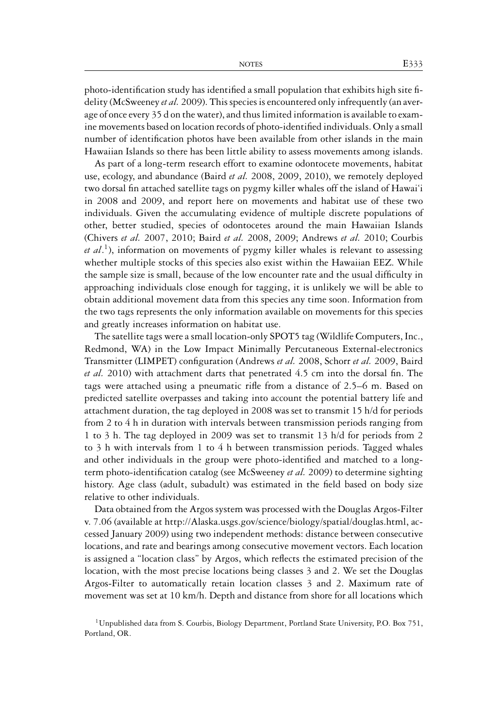photo-identification study has identified a small population that exhibits high site fidelity (McSweeney *et al.* 2009). This species is encountered only infrequently (an average of once every 35 d on the water), and thus limited information is available to examine movements based on location records of photo-identified individuals. Only a small number of identification photos have been available from other islands in the main Hawaiian Islands so there has been little ability to assess movements among islands.

As part of a long-term research effort to examine odontocete movements, habitat use, ecology, and abundance (Baird *et al.* 2008, 2009, 2010), we remotely deployed two dorsal fin attached satellite tags on pygmy killer whales off the island of Hawai'i in 2008 and 2009, and report here on movements and habitat use of these two individuals. Given the accumulating evidence of multiple discrete populations of other, better studied, species of odontocetes around the main Hawaiian Islands (Chivers *et al.* 2007, 2010; Baird *et al.* 2008, 2009; Andrews *et al.* 2010; Courbis *et al*. 1), information on movements of pygmy killer whales is relevant to assessing whether multiple stocks of this species also exist within the Hawaiian EEZ. While the sample size is small, because of the low encounter rate and the usual difficulty in approaching individuals close enough for tagging, it is unlikely we will be able to obtain additional movement data from this species any time soon. Information from the two tags represents the only information available on movements for this species and greatly increases information on habitat use.

The satellite tags were a small location-only SPOT5 tag (Wildlife Computers, Inc., Redmond, WA) in the Low Impact Minimally Percutaneous External-electronics Transmitter (LIMPET) configuration (Andrews *et al.* 2008, Schorr *et al.* 2009, Baird *et al.* 2010) with attachment darts that penetrated 4.5 cm into the dorsal fin. The tags were attached using a pneumatic rifle from a distance of 2.5–6 m. Based on predicted satellite overpasses and taking into account the potential battery life and attachment duration, the tag deployed in 2008 was set to transmit 15 h/d for periods from 2 to 4 h in duration with intervals between transmission periods ranging from 1 to 3 h. The tag deployed in 2009 was set to transmit 13 h/d for periods from 2 to 3 h with intervals from 1 to 4 h between transmission periods. Tagged whales and other individuals in the group were photo-identified and matched to a longterm photo-identification catalog (see McSweeney *et al.* 2009) to determine sighting history. Age class (adult, subadult) was estimated in the field based on body size relative to other individuals.

Data obtained from the Argos system was processed with the Douglas Argos-Filter v. 7.06 (available at http://Alaska.usgs.gov/science/biology/spatial/douglas.html, accessed January 2009) using two independent methods: distance between consecutive locations, and rate and bearings among consecutive movement vectors. Each location is assigned a "location class" by Argos, which reflects the estimated precision of the location, with the most precise locations being classes 3 and 2. We set the Douglas Argos-Filter to automatically retain location classes 3 and 2. Maximum rate of movement was set at 10 km/h. Depth and distance from shore for all locations which

<sup>&</sup>lt;sup>1</sup>Unpublished data from S. Courbis, Biology Department, Portland State University, P.O. Box 751, Portland, OR.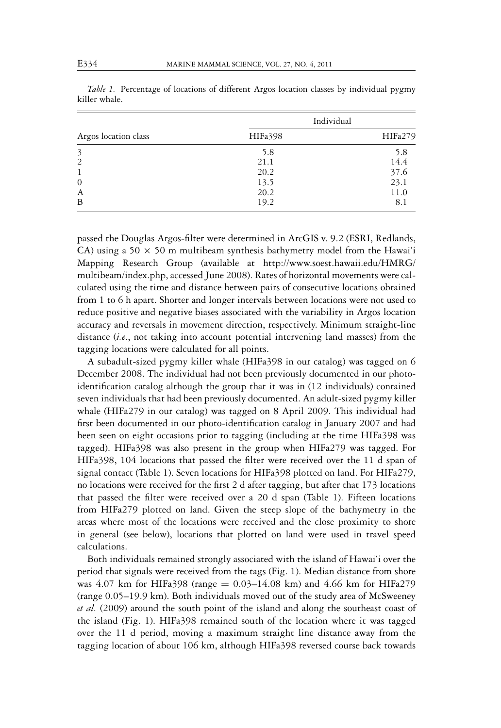| Argos location class | Individual |         |
|----------------------|------------|---------|
|                      | HIFa398    | HIFa279 |
| 3                    | 5.8        | 5.8     |
| 2                    | 21.1       | 14.4    |
|                      | 20.2       | 37.6    |
| $\theta$             | 13.5       | 23.1    |
| A                    | 20.2       | 11.0    |
| B                    | 19.2       | 8.1     |
|                      |            |         |

*Table 1.* Percentage of locations of different Argos location classes by individual pygmy killer whale.

passed the Douglas Argos-filter were determined in ArcGIS v. 9.2 (ESRI, Redlands, CA) using a 50  $\times$  50 m multibeam synthesis bathymetry model from the Hawai'i Mapping Research Group (available at http://www.soest.hawaii.edu/HMRG/ multibeam/index.php, accessed June 2008). Rates of horizontal movements were calculated using the time and distance between pairs of consecutive locations obtained from 1 to 6 h apart. Shorter and longer intervals between locations were not used to reduce positive and negative biases associated with the variability in Argos location accuracy and reversals in movement direction, respectively. Minimum straight-line distance (*i.e*., not taking into account potential intervening land masses) from the tagging locations were calculated for all points.

A subadult-sized pygmy killer whale (HIFa398 in our catalog) was tagged on 6 December 2008. The individual had not been previously documented in our photoidentification catalog although the group that it was in (12 individuals) contained seven individuals that had been previously documented. An adult-sized pygmy killer whale (HIFa279 in our catalog) was tagged on 8 April 2009. This individual had first been documented in our photo-identification catalog in January 2007 and had been seen on eight occasions prior to tagging (including at the time HIFa398 was tagged). HIFa398 was also present in the group when HIFa279 was tagged. For HIFa398, 104 locations that passed the filter were received over the 11 d span of signal contact (Table 1). Seven locations for HIFa398 plotted on land. For HIFa279, no locations were received for the first 2 d after tagging, but after that 173 locations that passed the filter were received over a 20 d span (Table 1). Fifteen locations from HIFa279 plotted on land. Given the steep slope of the bathymetry in the areas where most of the locations were received and the close proximity to shore in general (see below), locations that plotted on land were used in travel speed calculations.

Both individuals remained strongly associated with the island of Hawai'i over the period that signals were received from the tags (Fig. 1). Median distance from shore was 4.07 km for HIFa398 (range = 0.03–14.08 km) and 4.66 km for HIFa279 (range 0.05–19.9 km). Both individuals moved out of the study area of McSweeney *et al.* (2009) around the south point of the island and along the southeast coast of the island (Fig. 1). HIFa398 remained south of the location where it was tagged over the 11 d period, moving a maximum straight line distance away from the tagging location of about 106 km, although HIFa398 reversed course back towards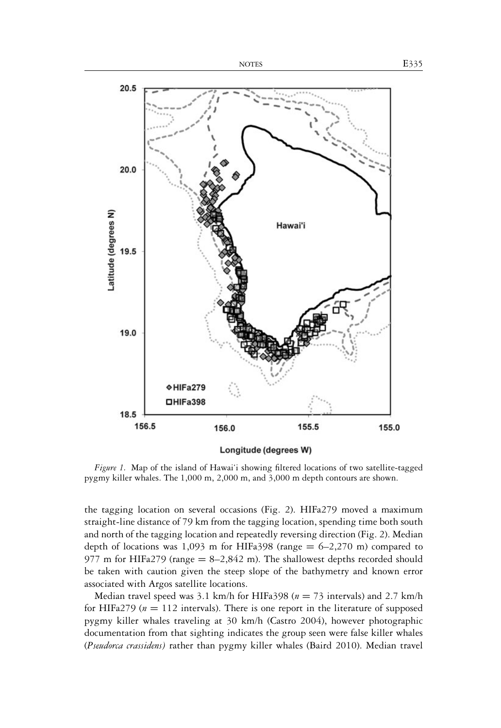

*Figure 1.* Map of the island of Hawai'i showing filtered locations of two satellite-tagged pygmy killer whales. The 1,000 m, 2,000 m, and 3,000 m depth contours are shown.

the tagging location on several occasions (Fig. 2). HIFa279 moved a maximum straight-line distance of 79 km from the tagging location, spending time both south and north of the tagging location and repeatedly reversing direction (Fig. 2). Median depth of locations was 1,093 m for HIFa398 (range  $= 6-2,270$  m) compared to 977 m for HIFa279 (range  $= 8-2,842$  m). The shallowest depths recorded should be taken with caution given the steep slope of the bathymetry and known error associated with Argos satellite locations.

Median travel speed was 3.1 km/h for HIFa398 (*n* = 73 intervals) and 2.7 km/h for HIFa279 ( $n = 112$  intervals). There is one report in the literature of supposed pygmy killer whales traveling at 30 km/h (Castro 2004), however photographic documentation from that sighting indicates the group seen were false killer whales (*Pseudorca crassidens)* rather than pygmy killer whales (Baird 2010). Median travel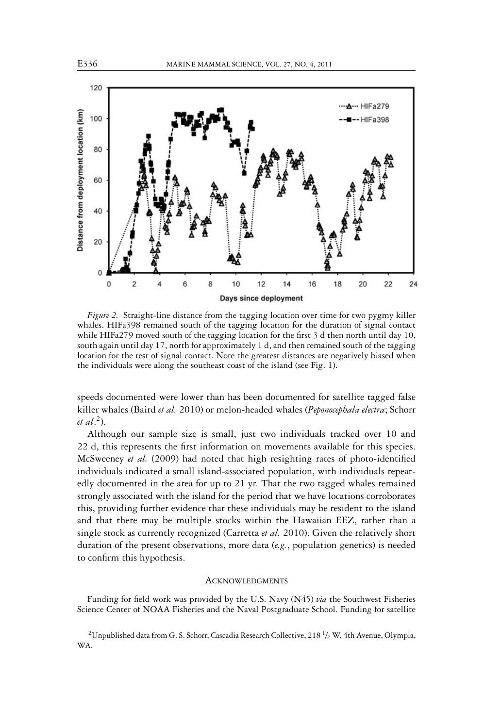

*Figure 2.* Straight-line distance from the tagging location over time for two pygmy killer whales. HIFa398 remained south of the tagging location for the duration of signal contact while HIFa279 moved south of the tagging location for the first 3 d then north until day 10, south again until day 17, north for approximately 1 d, and then remained south of the tagging location for the rest of signal contact. Note the greatest distances are negatively biased when the individuals were along the southeast coast of the island (see Fig. 1).

speeds documented were lower than has been documented for satellite tagged false killer whales (Baird *et al.* 2010) or melon-headed whales (*Peponocephala electra*; Schorr *et al*. 2).

Although our sample size is small, just two individuals tracked over 10 and 22 d, this represents the first information on movements available for this species. McSweeney *et al.* (2009) had noted that high resighting rates of photo-identified individuals indicated a small island-associated population, with individuals repeatedly documented in the area for up to 21 yr. That the two tagged whales remained strongly associated with the island for the period that we have locations corroborates this, providing further evidence that these individuals may be resident to the island and that there may be multiple stocks within the Hawaiian EEZ, rather than a single stock as currently recognized (Carretta *et al.* 2010). Given the relatively short duration of the present observations, more data (*e.g.*, population genetics) is needed to confirm this hypothesis.

#### **ACKNOWLEDGMENTS**

Funding for field work was provided by the U.S. Navy (N45) *via* the Southwest Fisheries Science Center of NOAA Fisheries and the Naval Postgraduate School. Funding for satellite

 $^2$ Unpublished data from G. S. Schorr, Cascadia Research Collective, 218  $^1\!/_2$  W. 4th Avenue, Olympia, WA.